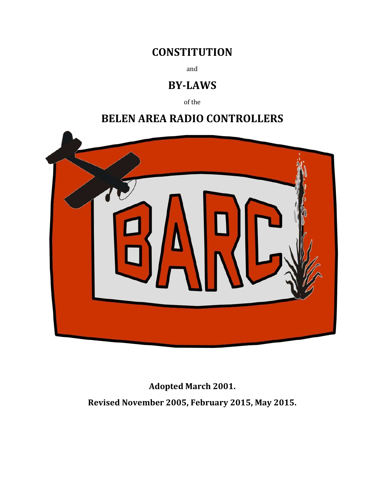# **CONSTITUTION**

and

# BY-LAWS

of the

# BELEN AREA RADIO CONTROLLERS



Adopted March 2001. Revised November 2005, February 2015, May 2015.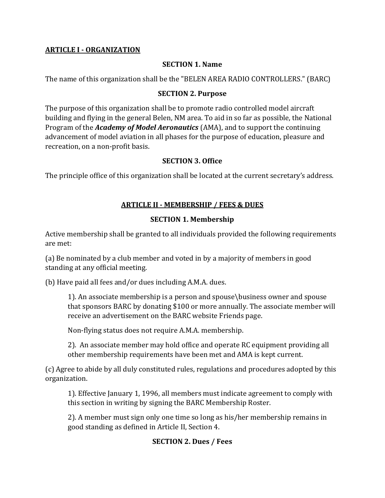#### ARTICLE I - ORGANIZATION

#### SECTION 1. Name

The name of this organization shall be the "BELEN AREA RADIO CONTROLLERS." (BARC)

#### SECTION 2. Purpose

The purpose of this organization shall be to promote radio controlled model aircraft building and flying in the general Belen, NM area. To aid in so far as possible, the National Program of the *Academy of Model Aeronautics* (AMA), and to support the continuing advancement of model aviation in all phases for the purpose of education, pleasure and recreation, on a non-profit basis.

#### SECTION 3. Office

The principle office of this organization shall be located at the current secretary's address.

## ARTICLE II - MEMBERSHIP / FEES & DUES

## SECTION 1. Membership

Active membership shall be granted to all individuals provided the following requirements are met:

(a) Be nominated by a club member and voted in by a majority of members in good standing at any official meeting.

(b) Have paid all fees and/or dues including A.M.A. dues.

1). An associate membership is a person and spouse\business owner and spouse that sponsors BARC by donating \$100 or more annually. The associate member will receive an advertisement on the BARC website Friends page.

Non-flying status does not require A.M.A. membership.

2). An associate member may hold office and operate RC equipment providing all other membership requirements have been met and AMA is kept current.

(c) Agree to abide by all duly constituted rules, regulations and procedures adopted by this organization.

1). Effective January 1, 1996, all members must indicate agreement to comply with this section in writing by signing the BARC Membership Roster.

2). A member must sign only one time so long as his/her membership remains in good standing as defined in Article II, Section 4.

## SECTION 2. Dues / Fees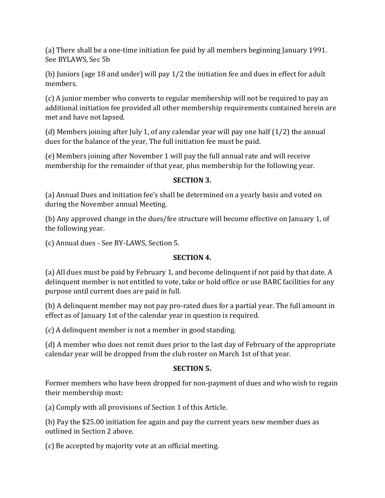(a) There shall be a one-time initiation fee paid by all members beginning January 1991. See BYLAWS, Sec 5b

(b) Juniors (age 18 and under) will pay 1/2 the initiation fee and dues in effect for adult members.

(c) A junior member who converts to regular membership will not be required to pay an additional initiation fee provided all other membership requirements contained herein are met and have not lapsed.

(d) Members joining after July 1, of any calendar year will pay one half (1/2) the annual dues for the balance of the year, The full initiation fee must be paid.

(e) Members joining after November 1 will pay the full annual rate and will receive membership for the remainder of that year, plus membership for the following year.

## SECTION 3.

(a) Annual Dues and initiation fee's shall be determined on a yearly basis and voted on during the November annual Meeting.

(b) Any approved change in the dues/fee structure will become effective on January 1, of the following year.

(c) Annual dues - See BY-LAWS, Section 5.

## SECTION 4.

(a) All dues must be paid by February 1, and become delinquent if not paid by that date. A delinquent member is not entitled to vote, take or hold office or use BARC facilities for any purpose until current dues are paid in full.

(b) A delinquent member may not pay pro-rated dues for a partial year. The full amount in effect as of January 1st of the calendar year in question is required.

(c) A delinquent member is not a member in good standing.

(d) A member who does not remit dues prior to the last day of February of the appropriate calendar year will be dropped from the club roster on March 1st of that year.

## SECTION 5.

Former members who have been dropped for non-payment of dues and who wish to regain their membership must:

(a) Comply with all provisions of Section 1 of this Article.

(b) Pay the \$25.00 initiation fee again and pay the current years new member dues as outlined in Section 2 above.

(c) Be accepted by majority vote at an official meeting.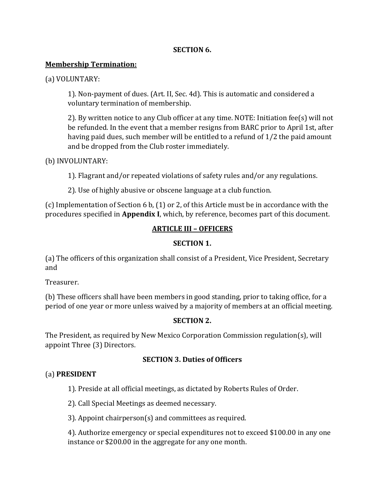#### SECTION 6.

#### Membership Termination:

(a) VOLUNTARY:

1). Non-payment of dues. (Art. II, Sec. 4d). This is automatic and considered a voluntary termination of membership.

2). By written notice to any Club officer at any time. NOTE: Initiation fee(s) will not be refunded. In the event that a member resigns from BARC prior to April 1st, after having paid dues, such member will be entitled to a refund of 1/2 the paid amount and be dropped from the Club roster immediately.

#### (b) INVOLUNTARY:

1). Flagrant and/or repeated violations of safety rules and/or any regulations.

2). Use of highly abusive or obscene language at a club function.

(c) Implementation of Section 6 b, (1) or 2, of this Article must be in accordance with the procedures specified in Appendix I, which, by reference, becomes part of this document.

# ARTICLE III – OFFICERS

#### SECTION 1.

(a) The officers of this organization shall consist of a President, Vice President, Secretary and

Treasurer.

(b) These officers shall have been members in good standing, prior to taking office, for a period of one year or more unless waived by a majority of members at an official meeting.

## SECTION 2.

The President, as required by New Mexico Corporation Commission regulation(s), will appoint Three (3) Directors.

## SECTION 3. Duties of Officers

## (a) PRESIDENT

1). Preside at all official meetings, as dictated by Roberts Rules of Order.

2). Call Special Meetings as deemed necessary.

3). Appoint chairperson(s) and committees as required.

4). Authorize emergency or special expenditures not to exceed \$100.00 in any one instance or \$200.00 in the aggregate for any one month.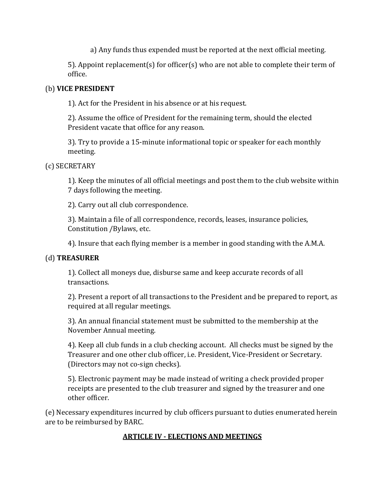a) Any funds thus expended must be reported at the next official meeting.

5). Appoint replacement(s) for officer(s) who are not able to complete their term of office.

# (b) VICE PRESIDENT

1). Act for the President in his absence or at his request.

2). Assume the office of President for the remaining term, should the elected President vacate that office for any reason.

3). Try to provide a 15-minute informational topic or speaker for each monthly meeting.

(c) SECRETARY

1). Keep the minutes of all official meetings and post them to the club website within 7 days following the meeting.

2). Carry out all club correspondence.

3). Maintain a file of all correspondence, records, leases, insurance policies, Constitution /Bylaws, etc.

4). Insure that each flying member is a member in good standing with the A.M.A.

# (d) TREASURER

1). Collect all moneys due, disburse same and keep accurate records of all transactions.

2). Present a report of all transactions to the President and be prepared to report, as required at all regular meetings.

3). An annual financial statement must be submitted to the membership at the November Annual meeting.

4). Keep all club funds in a club checking account. All checks must be signed by the Treasurer and one other club officer, i.e. President, Vice-President or Secretary. (Directors may not co-sign checks).

5). Electronic payment may be made instead of writing a check provided proper receipts are presented to the club treasurer and signed by the treasurer and one other officer.

(e) Necessary expenditures incurred by club officers pursuant to duties enumerated herein are to be reimbursed by BARC.

# ARTICLE IV - ELECTIONS AND MEETINGS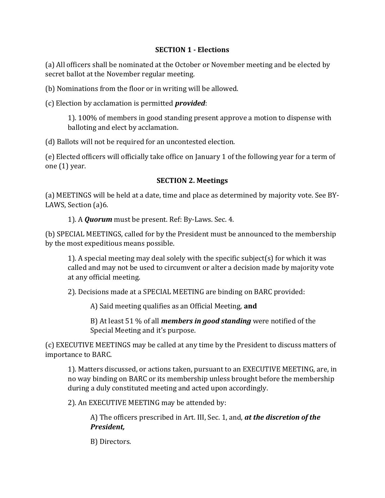#### SECTION 1 - Elections

(a) All officers shall be nominated at the October or November meeting and be elected by secret ballot at the November regular meeting.

(b) Nominations from the floor or in writing will be allowed.

(c) Election by acclamation is permitted provided:

1). 100% of members in good standing present approve a motion to dispense with balloting and elect by acclamation.

(d) Ballots will not be required for an uncontested election.

(e) Elected officers will officially take office on January 1 of the following year for a term of one (1) year.

# SECTION 2. Meetings

(a) MEETINGS will be held at a date, time and place as determined by majority vote. See BY-LAWS, Section (a)6.

1). A Quorum must be present. Ref: By-Laws. Sec. 4.

(b) SPECIAL MEETINGS, called for by the President must be announced to the membership by the most expeditious means possible.

1). A special meeting may deal solely with the specific subject(s) for which it was called and may not be used to circumvent or alter a decision made by majority vote at any official meeting.

2). Decisions made at a SPECIAL MEETING are binding on BARC provided:

A) Said meeting qualifies as an Official Meeting, and

B) At least 51  $%$  of all *members in good standing* were notified of the Special Meeting and it's purpose.

(c) EXECUTIVE MEETINGS may be called at any time by the President to discuss matters of importance to BARC.

1). Matters discussed, or actions taken, pursuant to an EXECUTIVE MEETING, are, in no way binding on BARC or its membership unless brought before the membership during a duly constituted meeting and acted upon accordingly.

2). An EXECUTIVE MEETING may be attended by:

A) The officers prescribed in Art. III, Sec. 1, and, at the discretion of the President,

B) Directors.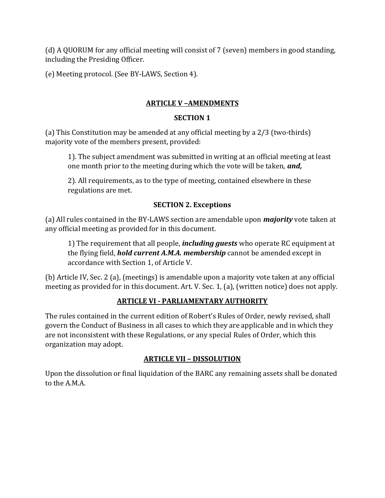(d) A QUORUM for any official meeting will consist of 7 (seven) members in good standing, including the Presiding Officer.

(e) Meeting protocol. (See BY-LAWS, Section 4).

# ARTICLE V –AMENDMENTS

## SECTION 1

(a) This Constitution may be amended at any official meeting by a 2/3 (two-thirds) majority vote of the members present, provided:

1). The subject amendment was submitted in writing at an official meeting at least one month prior to the meeting during which the vote will be taken, and,

2). All requirements, as to the type of meeting, contained elsewhere in these regulations are met.

## SECTION 2. Exceptions

(a) All rules contained in the BY-LAWS section are amendable upon **majority** vote taken at any official meeting as provided for in this document.

1) The requirement that all people, *including guests* who operate RC equipment at the flying field, **hold current A.M.A. membership** cannot be amended except in accordance with Section 1, of Article V.

(b) Article IV, Sec. 2 (a), (meetings) is amendable upon a majority vote taken at any official meeting as provided for in this document. Art. V. Sec. 1, (a), (written notice) does not apply.

# ARTICLE VI - PARLIAMENTARY AUTHORITY

The rules contained in the current edition of Robert's Rules of Order, newly revised, shall govern the Conduct of Business in all cases to which they are applicable and in which they are not inconsistent with these Regulations, or any special Rules of Order, which this organization may adopt.

# ARTICLE VII – DISSOLUTION

Upon the dissolution or final liquidation of the BARC any remaining assets shall be donated to the A.M.A.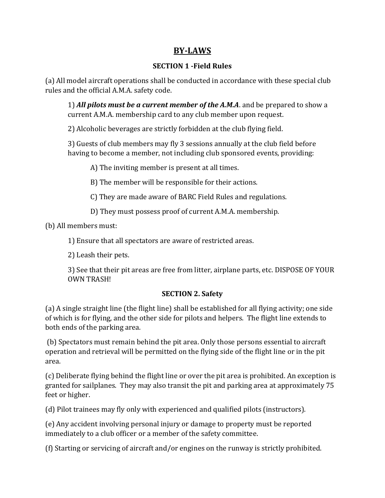# BY-LAWS

# SECTION 1 -Field Rules

(a) All model aircraft operations shall be conducted in accordance with these special club rules and the official A.M.A. safety code.

1) All pilots must be a current member of the A.M.A. and be prepared to show a current A.M.A. membership card to any club member upon request.

2) Alcoholic beverages are strictly forbidden at the club flying field.

3) Guests of club members may fly 3 sessions annually at the club field before having to become a member, not including club sponsored events, providing:

A) The inviting member is present at all times.

B) The member will be responsible for their actions.

C) They are made aware of BARC Field Rules and regulations.

D) They must possess proof of current A.M.A. membership.

(b) All members must:

1) Ensure that all spectators are aware of restricted areas.

2) Leash their pets.

3) See that their pit areas are free from litter, airplane parts, etc. DISPOSE OF YOUR OWN TRASH!

## SECTION 2. Safety

(a) A single straight line (the flight line) shall be established for all flying activity; one side of which is for flying, and the other side for pilots and helpers. The flight line extends to both ends of the parking area.

 (b) Spectators must remain behind the pit area. Only those persons essential to aircraft operation and retrieval will be permitted on the flying side of the flight line or in the pit area.

(c) Deliberate flying behind the flight line or over the pit area is prohibited. An exception is granted for sailplanes. They may also transit the pit and parking area at approximately 75 feet or higher.

(d) Pilot trainees may fly only with experienced and qualified pilots (instructors).

(e) Any accident involving personal injury or damage to property must be reported immediately to a club officer or a member of the safety committee.

(f) Starting or servicing of aircraft and/or engines on the runway is strictly prohibited.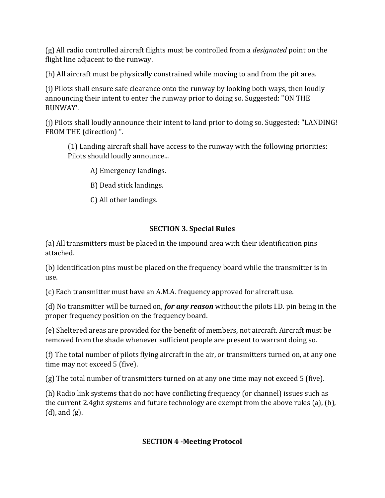(g) All radio controlled aircraft flights must be controlled from a designated point on the flight line adjacent to the runway.

(h) All aircraft must be physically constrained while moving to and from the pit area.

(i) Pilots shall ensure safe clearance onto the runway by looking both ways, then loudly announcing their intent to enter the runway prior to doing so. Suggested: "ON THE RUNWAY'.

(j) Pilots shall loudly announce their intent to land prior to doing so. Suggested: "LANDING! FROM THE (direction) ".

(1) Landing aircraft shall have access to the runway with the following priorities: Pilots should loudly announce...

A) Emergency landings.

B) Dead stick landings.

C) All other landings.

# SECTION 3. Special Rules

(a) All transmitters must be placed in the impound area with their identification pins attached.

(b) Identification pins must be placed on the frequency board while the transmitter is in use.

(c) Each transmitter must have an A.M.A. frequency approved for aircraft use.

(d) No transmitter will be turned on, *for any reason* without the pilots I.D. pin being in the proper frequency position on the frequency board.

(e) Sheltered areas are provided for the benefit of members, not aircraft. Aircraft must be removed from the shade whenever sufficient people are present to warrant doing so.

(f) The total number of pilots flying aircraft in the air, or transmitters turned on, at any one time may not exceed 5 (five).

(g) The total number of transmitters turned on at any one time may not exceed 5 (five).

(h) Radio link systems that do not have conflicting frequency (or channel) issues such as the current 2.4ghz systems and future technology are exempt from the above rules (a), (b), (d), and (g).

# SECTION 4 -Meeting Protocol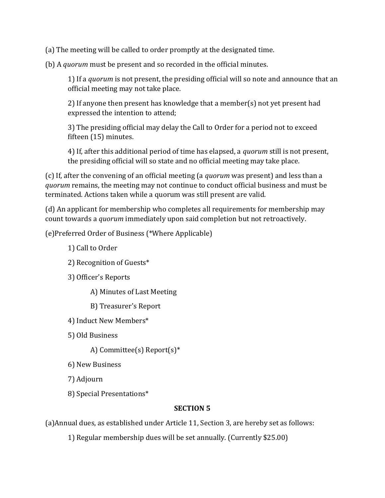(a) The meeting will be called to order promptly at the designated time.

(b) A quorum must be present and so recorded in the official minutes.

1) If a quorum is not present, the presiding official will so note and announce that an official meeting may not take place.

2) If anyone then present has knowledge that a member(s) not yet present had expressed the intention to attend;

3) The presiding official may delay the Call to Order for a period not to exceed fifteen (15) minutes.

4) If, after this additional period of time has elapsed, a *quorum* still is not present, the presiding official will so state and no official meeting may take place.

(c) If, after the convening of an official meeting (a quorum was present) and less than a quorum remains, the meeting may not continue to conduct official business and must be terminated. Actions taken while a quorum was still present are valid.

(d) An applicant for membership who completes all requirements for membership may count towards a quorum immediately upon said completion but not retroactively.

(e)Preferred Order of Business (\*Where Applicable)

1) Call to Order

2) Recognition of Guests\*

3) Officer's Reports

A) Minutes of Last Meeting

B) Treasurer's Report

4) Induct New Members\*

5) Old Business

A) Committee(s) Report(s)\*

6) New Business

7) Adjourn

8) Special Presentations\*

## SECTION 5

(a)Annual dues, as established under Article 11, Section 3, are hereby set as follows:

1) Regular membership dues will be set annually. (Currently \$25.00)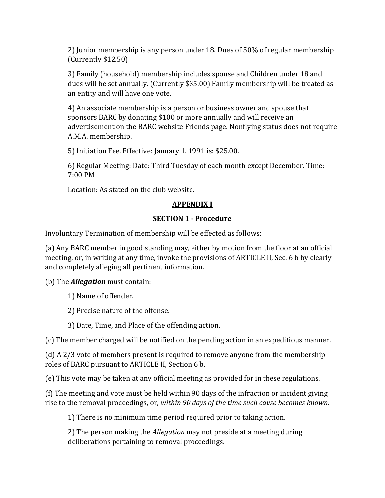2) Junior membership is any person under 18. Dues of 50% of regular membership (Currently \$12.50)

3) Family (household) membership includes spouse and Children under 18 and dues will be set annually. (Currently \$35.00) Family membership will be treated as an entity and will have one vote.

4) An associate membership is a person or business owner and spouse that sponsors BARC by donating \$100 or more annually and will receive an advertisement on the BARC website Friends page. Nonflying status does not require A.M.A. membership.

5) Initiation Fee. Effective: January 1. 1991 is: \$25.00.

6) Regular Meeting: Date: Third Tuesday of each month except December. Time: 7:00 PM

Location: As stated on the club website.

## APPENDIX I

#### SECTION 1 - Procedure

Involuntary Termination of membership will be effected as follows:

(a) Any BARC member in good standing may, either by motion from the floor at an official meeting, or, in writing at any time, invoke the provisions of ARTICLE II, Sec. 6 b by clearly and completely alleging all pertinent information.

(b) The **Allegation** must contain:

1) Name of offender.

2) Precise nature of the offense.

3) Date, Time, and Place of the offending action.

(c) The member charged will be notified on the pending action in an expeditious manner.

(d) A 2/3 vote of members present is required to remove anyone from the membership roles of BARC pursuant to ARTICLE II, Section 6 b.

(e) This vote may be taken at any official meeting as provided for in these regulations.

(f) The meeting and vote must be held within 90 days of the infraction or incident giving rise to the removal proceedings, or, within 90 days of the time such cause becomes known.

1) There is no minimum time period required prior to taking action.

2) The person making the Allegation may not preside at a meeting during deliberations pertaining to removal proceedings.